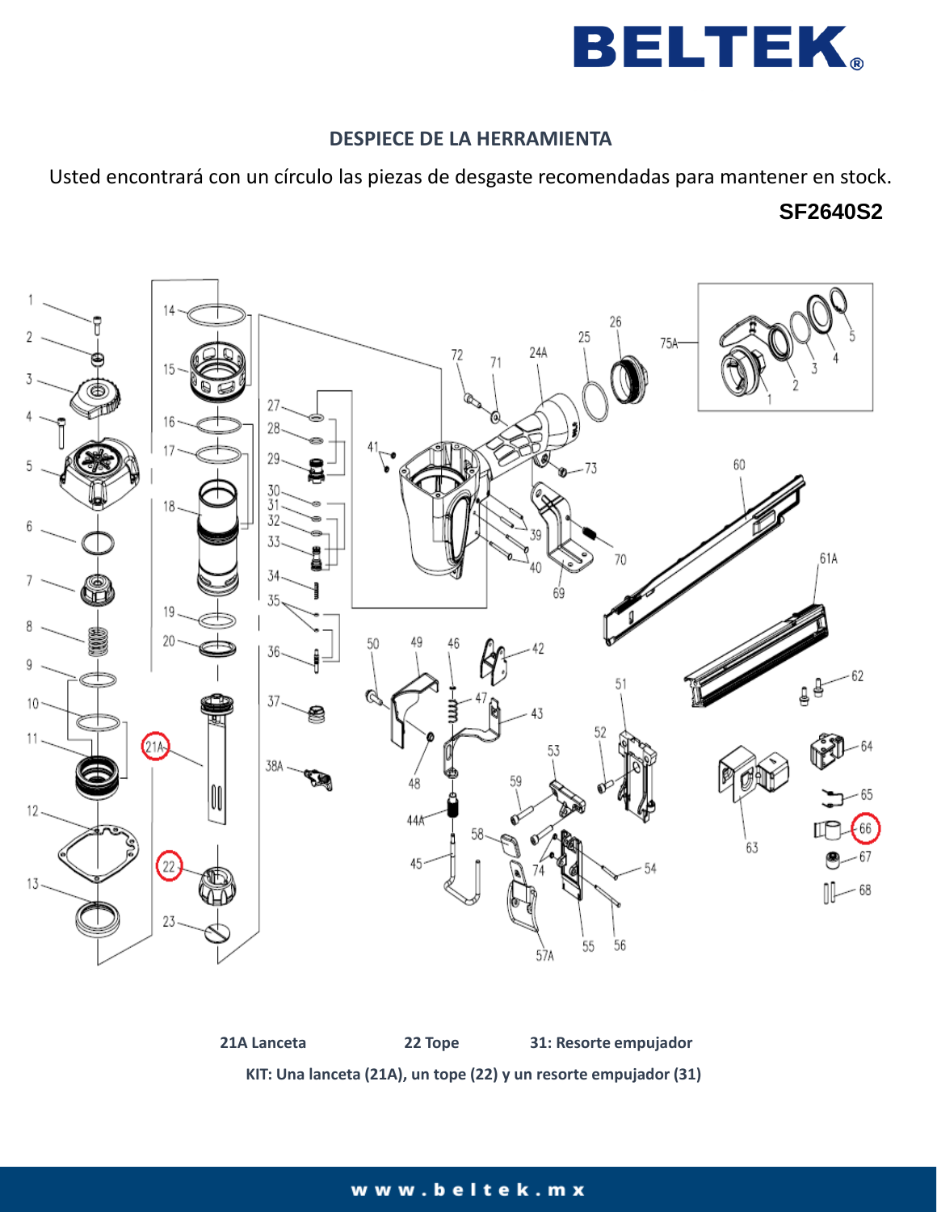

## **DESPIECE DE LA HERRAMIENTA**

Usted encontrará con un círculo las piezas de desgaste recomendadas para mantener en stock.

# **SF2640S2**



**21A Lanceta 22 Tope 31: Resorte empujador KIT: Una lanceta (21A), un tope (22) y un resorte empujador (31)**

### www.beltek.mx